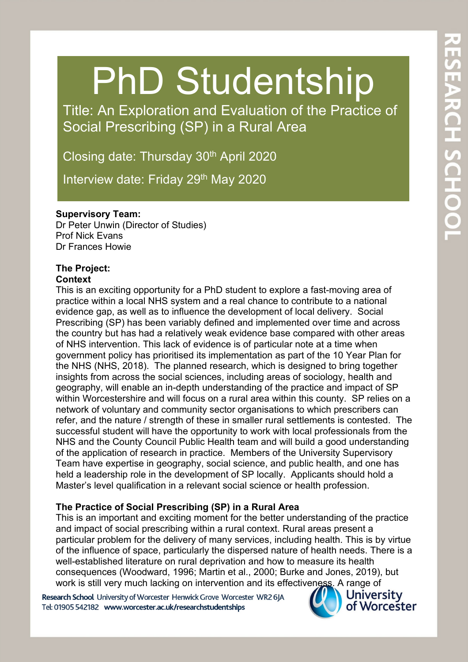# PhD Studentship

Title: An Exploration and Evaluation of the Practice of Social Prescribing (SP) in a Rural Area

Closing date: Thursday 30th April 2020

Interview date: Friday 29<sup>th</sup> May 2020

#### **Supervisory Team:**

Dr Peter Unwin (Director of Studies) Prof Nick Evans Dr Frances Howie

# **The Project:**

## **Context**

**Context**<br>This is an exciting opportunity for a PhD student to explore a fast-moving area of practice within a local NHS system and a real chance to contribute to a national evidence gap, as well as to influence the development of local delivery. Social Prescribing (SP) has been variably defined and implemented over time and across the country but has had a relatively weak evidence base compared with other areas of NHS intervention. This lack of evidence is of particular note at a time when government policy has prioritised its implementation as part of the 10 Year Plan for the NHS (NHS, 2018). The planned research, which is designed to bring together insights from across the social sciences, including areas of sociology, health and geography, will enable an in-depth understanding of the practice and impact of SP within Worcestershire and will focus on a rural area within this county. SP relies on a network of voluntary and community sector organisations to which prescribers can refer, and the nature / strength of these in smaller rural settlements is contested. The successful student will have the opportunity to work with local professionals from the NHS and the County Council Public Health team and will build a good understanding of the application of research in practice. Members of the University Supervisory Team have expertise in geography, social science, and public health, and one has held a leadership role in the development of SP locally. Applicants should hold a Master's level qualification in a relevant social science or health profession.

#### **The Practice of Social Prescribing (SP) in a Rural Area**

This is an important and exciting moment for the better understanding of the practice and impact of social prescribing within a rural context. Rural areas present a particular problem for the delivery of many services, including health. This is by virtue of the influence of space, particularly the dispersed nature of health needs. There is a well-established literature on rural deprivation and how to measure its health consequences (Woodward, 1996; Martin et al., 2000; Burke and Jones, 2019), but work is still very much lacking on intervention and its effectiveness. A range of

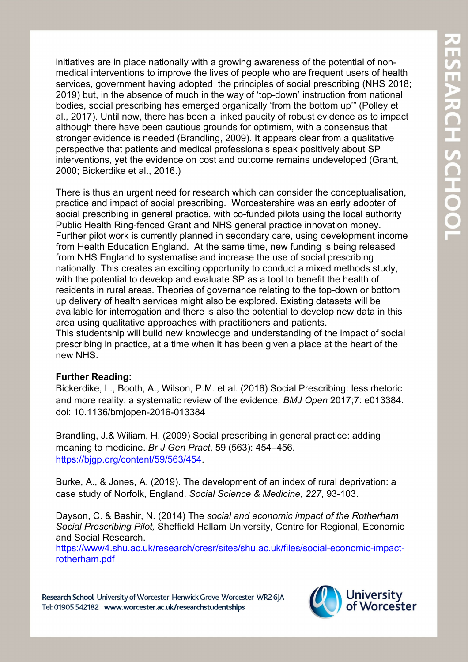initiatives are in place nationally with a growing awareness of the potential of nonmedical interventions to improve the lives of people who are frequent users of health services, government having adopted the principles of social prescribing (NHS 2018; 2019) but, in the absence of much in the way of 'top-down' instruction from national bodies, social prescribing has emerged organically 'from the bottom up'" (Polley et al., 2017). Until now, there has been a linked paucity of robust evidence as to impact although there have been cautious grounds for optimism, with a consensus that stronger evidence is needed (Brandling, 2009). It appears clear from a qualitative perspective that patients and medical professionals speak positively about SP interventions, yet the evidence on cost and outcome remains undeveloped (Grant, 2000; Bickerdike et al., 2016.)

There is thus an urgent need for research which can consider the conceptualisation, practice and impact of social prescribing. Worcestershire was an early adopter of social prescribing in general practice, with co-funded pilots using the local authority Public Health Ring-fenced Grant and NHS general practice innovation money. Further pilot work is currently planned in secondary care, using development income from Health Education England. At the same time, new funding is being released from NHS England to systematise and increase the use of social prescribing nationally. This creates an exciting opportunity to conduct a mixed methods study, with the potential to develop and evaluate SP as a tool to benefit the health of residents in rural areas. Theories of governance relating to the top-down or bottom up delivery of health services might also be explored. Existing datasets will be available for interrogation and there is also the potential to develop new data in this area using qualitative approaches with practitioners and patients. This studentship will build new knowledge and understanding of the impact of social prescribing in practice, at a time when it has been given a place at the heart of the

# **Further Reading:**

new NHS.

Bickerdike, L., Booth, A., Wilson, P.M. et al. (2016) Social Prescribing: less rhetoric and more reality: a systematic review of the evidence, *BMJ Open* 2017;7: e013384. doi: 10.1136/bmjopen-2016-013384

Brandling, J.& Wiliam, H. (2009) Social prescribing in general practice: adding meaning to medicine. *Br J Gen Pract*, 59 (563): 454–456. [https://bjgp.org/content/59/563/454.](https://bjgp.org/content/59/563/454)

Burke, A., & Jones, A. (2019). The development of an index of rural deprivation: a case study of Norfolk, England. *Social Science & Medicine*, *227*, 93-103.

Dayson, C. & Bashir, N. (2014) The *social and economic impact of the Rotherham Social Prescribing Pilot,* Sheffield Hallam University, Centre for Regional, Economic and Social Research.

[https://www4.shu.ac.uk/research/cresr/sites/shu.ac.uk/files/social-economic-impact](https://www4.shu.ac.uk/research/cresr/sites/shu.ac.uk/files/social-economic-impact-rotherham.pdf)[rotherham.pdf](https://www4.shu.ac.uk/research/cresr/sites/shu.ac.uk/files/social-economic-impact-rotherham.pdf)

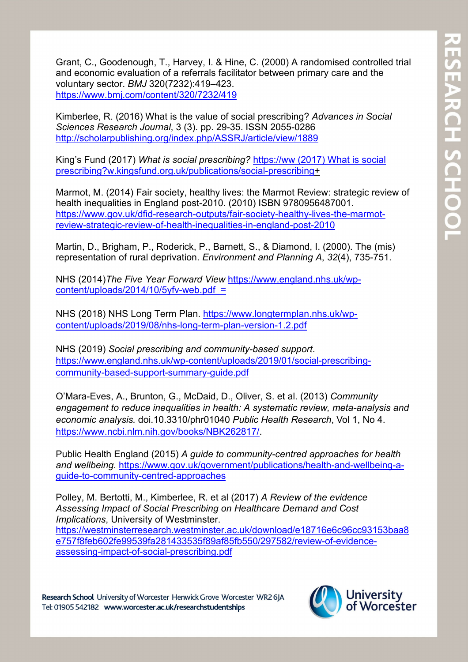Grant, C., Goodenough, T., Harvey, I. & Hine, C. (2000) A randomised controlled trial and economic evaluation of a referrals facilitator between primary care and the voluntary sector. *BMJ* 320(7232):419–423. <https://www.bmj.com/content/320/7232/419>

Kimberlee, R. (2016) What is the value of social prescribing? *Advances in Social Sciences Research Journal*, 3 (3). pp. 29-35. ISSN 2055-0286 <http://scholarpublishing.org/index.php/ASSRJ/article/view/1889>

King's Fund (2017) *What is social prescribing?* https://ww (2017) What is social prescribing?w.kingsfund.org.uk/publications/social-prescribing+

Marmot, M. (2014) Fair society, healthy lives: the Marmot Review: strategic review of health inequalities in England post-2010. (2010) ISBN 9780956487001. [https://www.gov.uk/dfid-research-outputs/fair-society-healthy-lives-the-marmot](https://www.gov.uk/dfid-research-outputs/fair-society-healthy-lives-the-marmot-review-strategic-review-of-health-inequalities-in-england-post-2010)[review-strategic-review-of-health-inequalities-in-england-post-2010](https://www.gov.uk/dfid-research-outputs/fair-society-healthy-lives-the-marmot-review-strategic-review-of-health-inequalities-in-england-post-2010)

Martin, D., Brigham, P., Roderick, P., Barnett, S., & Diamond, I. (2000). The (mis) representation of rural deprivation. *Environment and Planning A*, *32*(4), 735-751.

NHS (2014)*The Five Year Forward View* [https://www.england.nhs.uk/wp](https://www.england.nhs.uk/wp-content/uploads/2014/10/5yfv-web.pdf)[content/uploads/2014/10/5yfv-web.pdf](https://www.england.nhs.uk/wp-content/uploads/2014/10/5yfv-web.pdf) [=](https://www.england.nhs.uk/gp/gpfv/redesig/gpdp/)

NHS (2018) NHS Long Term Plan. [https://www.longtermplan.nhs.uk/wp](https://www.longtermplan.nhs.uk/wp-content/uploads/2019/08/nhs-long-term-plan-version-1.2.pdf)[content/uploads/2019/08/nhs-long-term-plan-version-1.2.pdf](https://www.longtermplan.nhs.uk/wp-content/uploads/2019/08/nhs-long-term-plan-version-1.2.pdf)

NHS (2019) *Social prescribing and community-based support*. [https://www.england.nhs.uk/wp-content/uploads/2019/01/social-prescribing](https://www.england.nhs.uk/wp-content/uploads/2019/01/social-prescribing-community-based-support-summary-guide.pdf)[community-based-support-summary-guide.pdf](https://www.england.nhs.uk/wp-content/uploads/2019/01/social-prescribing-community-based-support-summary-guide.pdf)

O'Mara-Eves, A., Brunton, G., McDaid, D., Oliver, S. et al. (2013) *Community engagement to reduce inequalities in health: A systematic review, meta-analysis and economic analysis.* doi.10.3310/phr01040 *Public Health Research*, Vol 1, No 4. [https://www.ncbi.nlm.nih.gov/books/NBK262817/.](https://www.ncbi.nlm.nih.gov/books/NBK262817/)

Public Health England (2015) *A guide to community-centred approaches for health and wellbeing.* [https://www.gov.uk/government/publications/health-and-wellbeing-a](https://www.gov.uk/government/publications/health-and-wellbeing-a-guide-to-community-centred-approaches)[guide-to-community-centred-approaches](https://www.gov.uk/government/publications/health-and-wellbeing-a-guide-to-community-centred-approaches)

Polley, M. Bertotti, M., Kimberlee, R. et al (2017) *A Review of the evidence Assessing Impact of Social Prescribing on Healthcare Demand and Cost Implications*, University of Westminster. [https://westminsterresearch.westminster.ac.uk/download/e18716e6c96cc93153baa8](https://westminsterresearch.westminster.ac.uk/download/e18716e6c96cc93153baa8e757f8feb602fe99539fa281433535f89af85fb550/297582/review-of-evidence-assessing-impact-of-social-prescribing.pdf) [e757f8feb602fe99539fa281433535f89af85fb550/297582/review-of-evidence](https://westminsterresearch.westminster.ac.uk/download/e18716e6c96cc93153baa8e757f8feb602fe99539fa281433535f89af85fb550/297582/review-of-evidence-assessing-impact-of-social-prescribing.pdf)[assessing-impact-of-social-prescribing.pdf](https://westminsterresearch.westminster.ac.uk/download/e18716e6c96cc93153baa8e757f8feb602fe99539fa281433535f89af85fb550/297582/review-of-evidence-assessing-impact-of-social-prescribing.pdf)

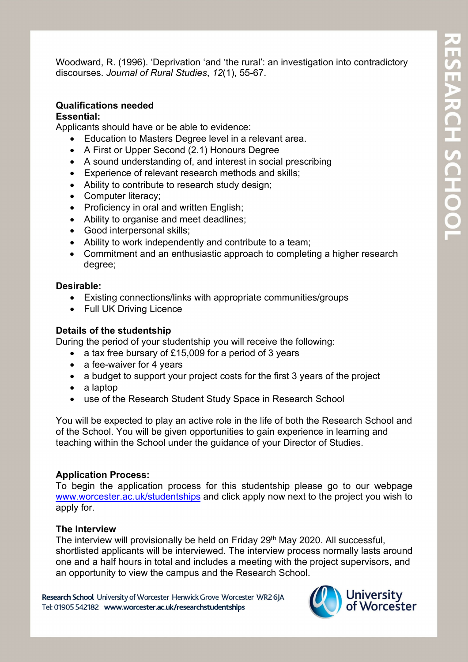Woodward, R. (1996). 'Deprivation 'and 'the rural': an investigation into contradictory discourses. *Journal of Rural Studies*, *12*(1), 55-67.

#### **Qualifications needed**

#### **Essential:**

Applicants should have or be able to evidence:

- Education to Masters Degree level in a relevant area.
- A First or Upper Second (2.1) Honours Degree
- A sound understanding of, and interest in social prescribing
- Experience of relevant research methods and skills;
- Ability to contribute to research study design;
- Computer literacy;
- Proficiency in oral and written English;
- Ability to organise and meet deadlines;
- Good interpersonal skills;
- Ability to work independently and contribute to a team;
- Commitment and an enthusiastic approach to completing a higher research degree;

#### **Desirable:**

- Existing connections/links with appropriate communities/groups
- Full UK Driving Licence

#### **Details of the studentship**

During the period of your studentship you will receive the following:

- a tax free bursary of £15,009 for a period of 3 years
- a fee-waiver for 4 years
- a budget to support your project costs for the first 3 years of the project
- a laptop
- use of the Research Student Study Space in Research School

You will be expected to play an active role in the life of both the Research School and of the School. You will be given opportunities to gain experience in learning and teaching within the School under the guidance of your Director of Studies.

#### **Application Process:**

To begin the application process for this studentship please go to our webpage [www.worcester.ac.uk/studentships](http://www.worcester.ac.uk/studentships) and click apply now next to the project you wish to apply for.

#### **The Interview**

The interview will provisionally be held on Friday 29<sup>th</sup> May 2020. All successful, shortlisted applicants will be interviewed. The interview process normally lasts around one and a half hours in total and includes a meeting with the project supervisors, and an opportunity to view the campus and the Research School.

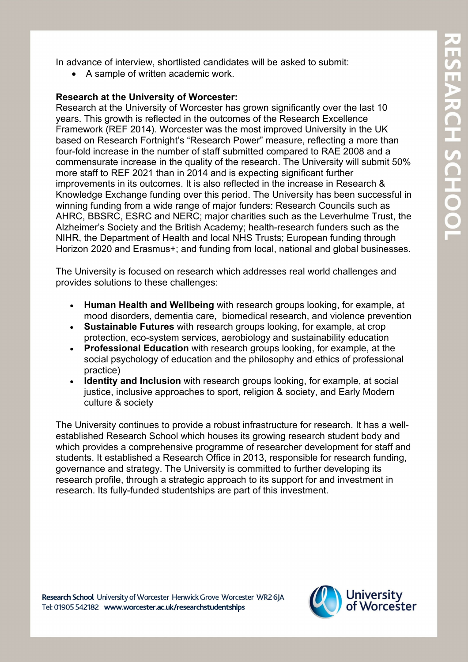In advance of interview, shortlisted candidates will be asked to submit:

• A sample of written academic work.

#### **Research at the University of Worcester:**

Research at the University of Worcester has grown significantly over the last 10 years. This growth is reflected in the outcomes of the Research Excellence Framework (REF 2014). Worcester was the most improved University in the UK based on Research Fortnight's "Research Power" measure, reflecting a more than four-fold increase in the number of staff submitted compared to RAE 2008 and a commensurate increase in the quality of the research. The University will submit 50% more staff to REF 2021 than in 2014 and is expecting significant further improvements in its outcomes. It is also reflected in the increase in Research & Knowledge Exchange funding over this period. The University has been successful in winning funding from a wide range of major funders: Research Councils such as AHRC, BBSRC, ESRC and NERC; major charities such as the Leverhulme Trust, the Alzheimer's Society and the British Academy; health-research funders such as the NIHR, the Department of Health and local NHS Trusts; European funding through Horizon 2020 and Erasmus+; and funding from local, national and global businesses.

The University is focused on research which addresses real world challenges and provides solutions to these challenges:

- **Human Health and Wellbeing** with research groups looking, for example, at mood disorders, dementia care, biomedical research, and violence prevention
- **Sustainable Futures** with research groups looking, for example, at crop protection, eco-system services, aerobiology and sustainability education
- **Professional Education** with research groups looking, for example, at the social psychology of education and the philosophy and ethics of professional practice)
- **Identity and Inclusion** with research groups looking, for example, at social justice, inclusive approaches to sport, religion & society, and Early Modern culture & society

The University continues to provide a robust infrastructure for research. It has a wellestablished Research School which houses its growing research student body and which provides a comprehensive programme of researcher development for staff and students. It established a Research Office in 2013, responsible for research funding, governance and strategy. The University is committed to further developing its research profile, through a strategic approach to its support for and investment in research. Its fully-funded studentships are part of this investment.

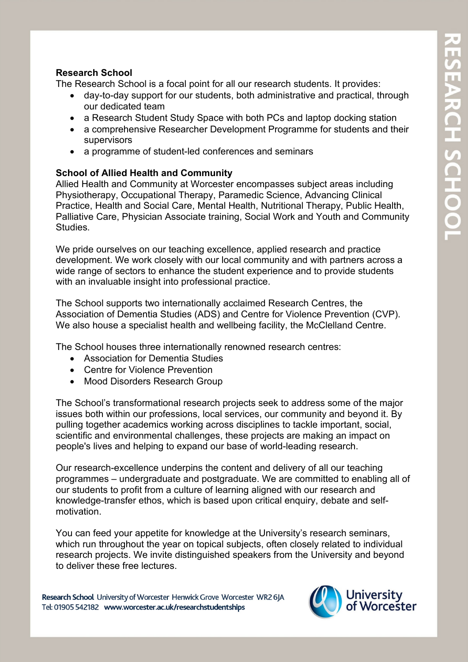#### **Research School**

The Research School is a focal point for all our research students. It provides:

- day-to-day support for our students, both administrative and practical, through our dedicated team
- a Research Student Study Space with both PCs and laptop docking station
- a comprehensive Researcher Development Programme for students and their supervisors
- a programme of student-led conferences and seminars

#### **School of Allied Health and Community**

Allied Health and Community at Worcester encompasses subject areas including Physiotherapy, Occupational Therapy, Paramedic Science, Advancing Clinical Practice, Health and Social Care, Mental Health, Nutritional Therapy, Public Health, Palliative Care, Physician Associate training, Social Work and Youth and Community **Studies** 

We pride ourselves on our teaching excellence, applied research and practice development. We work closely with our local community and with partners across a wide range of sectors to enhance the student experience and to provide students with an invaluable insight into professional practice.

The School supports two internationally acclaimed Research Centres, the Association of Dementia Studies (ADS) and Centre for Violence Prevention (CVP). We also house a specialist health and wellbeing facility, the McClelland Centre.

The School houses three internationally renowned research centres:

- Association for Dementia Studies
- Centre for Violence Prevention
- Mood Disorders Research Group

The School's transformational research projects seek to address some of the major issues both within our professions, local services, our community and beyond it. By pulling together academics working across disciplines to tackle important, social, scientific and environmental challenges, these projects are making an impact on people's lives and helping to expand our base of world-leading research.

Our research-excellence underpins the content and delivery of all our teaching programmes – undergraduate and postgraduate. We are committed to enabling all of our students to profit from a culture of learning aligned with our research and knowledge-transfer ethos, which is based upon critical enquiry, debate and selfmotivation.

You can feed your appetite for knowledge at the University's research seminars, which run throughout the year on topical subjects, often closely related to individual research projects. We invite distinguished speakers from the University and beyond to deliver these free lectures.